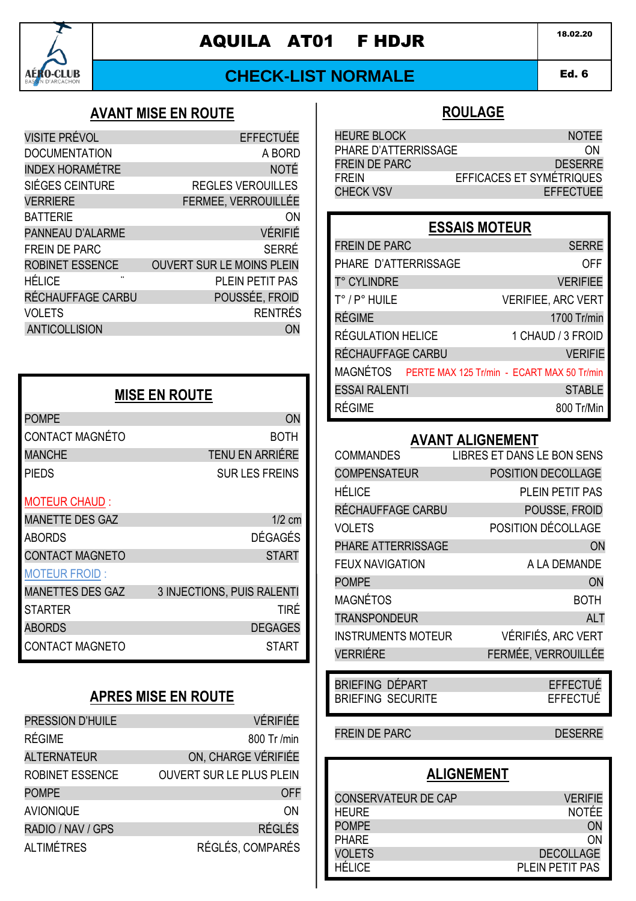

# AQUILA AT01 FHDJR 18.02.20

## **CHECK-LIST NORMALE**

#### Ed. 6 AMD 1

### **AVANT MISE EN ROUTE**

| <b>VISITE PRÉVOL</b>   | <b>EFFECTUÉE</b>                 |
|------------------------|----------------------------------|
|                        |                                  |
| <b>DOCUMENTATION</b>   | A BORD                           |
| <b>INDEX HORAMÉTRE</b> | <b>NOTÉ</b>                      |
| SIÉGES CEINTURE        | <b>REGLES VEROUILLES</b>         |
| <b>VERRIERE</b>        | FERMEE, VERROUILLÉE              |
| <b>BATTERIE</b>        | ON                               |
| PANNEAU D'ALARME       | <b>VÉRIFIÉ</b>                   |
| <b>FREIN DE PARC</b>   | SERRÉ                            |
| ROBINET ESSENCE        | <b>OUVERT SUR LE MOINS PLEIN</b> |
| HÉLICE<br>             | PLEIN PETIT PAS                  |
| RÉCHAUFFAGE CARBU      | POUSSÉE, FROID                   |
| <b>VOLETS</b>          | <b>RENTRÉS</b>                   |
| <b>ANTICOLLISION</b>   | OΝ                               |
|                        |                                  |

| <b>MISE EN ROUTE</b>    |                            |
|-------------------------|----------------------------|
| <b>POMPE</b>            | <b>ON</b>                  |
| CONTACT MAGNÉTO         | BOTH                       |
| <b>MANCHE</b>           | <b>TENU EN ARRIÉRE</b>     |
| <b>PIEDS</b>            | <b>SUR LES FREINS</b>      |
| <b>MOTEUR CHAUD:</b>    |                            |
| <b>MANETTE DES GAZ</b>  | $1/2$ cm                   |
| <b>ABORDS</b>           | <b>DÉGAGÉS</b>             |
| <b>CONTACT MAGNETO</b>  | <b>START</b>               |
| <b>MOTEUR FROID:</b>    |                            |
| <b>MANETTES DES GAZ</b> | 3 INJECTIONS, PUIS RALENTI |
| <b>STARTER</b>          | TIRÉ                       |
| <b>ABORDS</b>           | <b>DEGAGES</b>             |
| <b>CONTACT MAGNETO</b>  | <b>START</b>               |

## **APRES MISE EN ROUTE**

| PRESSION D'HUILE   | <b>VÉRIFIÉE</b>                 |
|--------------------|---------------------------------|
| RÉGIME             | 800 Tr /min                     |
| <b>ALTERNATEUR</b> | ON, CHARGE VÉRIFIÉE             |
| ROBINET ESSENCE    | <b>OUVERT SUR LE PLUS PLEIN</b> |
| <b>POMPE</b>       | <b>OFF</b>                      |
| <b>AVIONIQUE</b>   | ON                              |
| RADIO / NAV / GPS  | <b>RÉGLÉS</b>                   |
| <b>ALTIMÉTRES</b>  | RÉGLÉS, COMPARÉS                |

### **ROULAGE**

| <b>HEURE BLOCK</b>   | <b>NOTEE</b>             |
|----------------------|--------------------------|
| PHARE D'ATTERRISSAGE | ΩN                       |
| FREIN DE PARC        | <b>DESERRE</b>           |
| <b>FREIN</b>         | EFFICACES ET SYMÉTRIQUES |
| <b>CHECK VSV</b>     | <b>EFFECTUEE</b>         |

### **ESSAIS MOTEUR**

| <b>FREIN DE PARC</b>                                | <b>SERRE</b>              |
|-----------------------------------------------------|---------------------------|
| PHARE D'ATTERRISSAGE                                | OFF                       |
| T° CYLINDRE                                         | <b>VERIFIEE</b>           |
| T° / P° HUILE                                       | <b>VERIFIEE, ARC VERT</b> |
| <b>RÉGIME</b>                                       | 1700 Tr/min               |
| RÉGULATION HELICE                                   | 1 CHAUD / 3 FROID         |
| RÉCHAUFFAGE CARBU                                   | <b>VERIFIE</b>            |
| MAGNÉTOS PERTE MAX 125 Tr/min - ECART MAX 50 Tr/min |                           |
| <b>ESSAI RALENTI</b>                                | <b>STABLE</b>             |
| RÉGIME                                              | 800 Tr/Min                |

### **AVANT ALIGNEMENT**

| <b>COMMANDES</b>          | <b>LIBRES ET DANS LE BON SENS</b> |
|---------------------------|-----------------------------------|
| <b>COMPENSATEUR</b>       | POSITION DECOLLAGE                |
| HÉLICE                    | PLEIN PETIT PAS                   |
| RÉCHAUFFAGE CARBU         | POUSSE, FROID                     |
| <b>VOLETS</b>             | POSITION DÉCOLLAGE                |
| PHARE ATTERRISSAGE        | ON                                |
| FFUX NAVIGATION           | A LA DEMANDE                      |
| <b>POMPE</b>              | ON                                |
| MAGNÉTOS                  | <b>BOTH</b>                       |
| <b>TRANSPONDEUR</b>       | <b>ALT</b>                        |
| <b>INSTRUMENTS MOTEUR</b> | VÉRIFIÉS, ARC VERT                |
| <b>VERRIÉRE</b>           | FERMÉE, VERROUILLÉE               |

| BRIEFING DÉPART |                   | EFFECTUÉ |
|-----------------|-------------------|----------|
|                 | BRIEFING SECURITE | EFFECTUÉ |

#### FREIN DE PARC DESERRE

## **ALIGNEMENT**

| <b>CONSERVATEUR DE CAP</b> | <b>VERIFIE</b>   |
|----------------------------|------------------|
| <b>HFURF</b>               | <b>NOTÉF</b>     |
| <b>POMPF</b>               | ON               |
| <b>PHARF</b>               | ωN               |
| VOI FTS                    | <b>DECOLLAGE</b> |
| HÉI ICE                    | PLEIN PETIT PAS  |
|                            |                  |